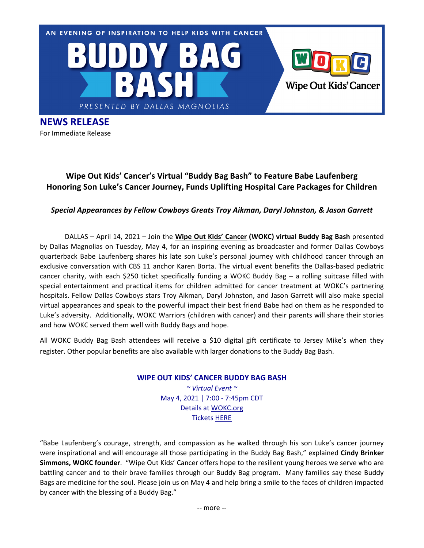

**NEWS RELEASE** For Immediate Release

## **Wipe Out Kids' Cancer's Virtual "Buddy Bag Bash" to Feature Babe Laufenberg Honoring Son Luke's Cancer Journey, Funds Uplifting Hospital Care Packages for Children**

## *Special Appearances by Fellow Cowboys Greats Troy Aikman, Daryl Johnston, & Jason Garrett*

DALLAS – April 14, 2021 – Join the **Wipe Out Kids' Cancer (WOKC) virtual Buddy Bag Bash** presented by Dallas Magnolias on Tuesday, May 4, for an inspiring evening as broadcaster and former Dallas Cowboys quarterback Babe Laufenberg shares his late son Luke's personal journey with childhood cancer through an exclusive conversation with CBS 11 anchor Karen Borta. The virtual event benefits the Dallas-based pediatric cancer charity, with each \$250 ticket specifically funding a WOKC Buddy Bag – a rolling suitcase filled with special entertainment and practical items for children admitted for cancer treatment at WOKC's partnering hospitals. Fellow Dallas Cowboys stars Troy Aikman, Daryl Johnston, and Jason Garrett will also make special virtual appearances and speak to the powerful impact their best friend Babe had on them as he responded to Luke's adversity. Additionally, WOKC Warriors (children with cancer) and their parents will share their stories and how WOKC served them well with Buddy Bags and hope.

All WOKC Buddy Bag Bash attendees will receive a \$10 digital gift certificate to Jersey Mike's when they register. Other popular benefits are also available with larger donations to the Buddy Bag Bash.

## **WIPE OUT KIDS' CANCER BUDDY BAG BASH**

*~ Virtual Event ~* May 4, 2021 | 7:00 ‐ 7:45pm CDT Details at WOKC.org Tickets HERE

"Babe Laufenberg's courage, strength, and compassion as he walked through his son Luke's cancer journey were inspirational and will encourage all those participating in the Buddy Bag Bash," explained **Cindy Brinker Simmons, WOKC founder**. "Wipe Out Kids' Cancer offers hope to the resilient young heroes we serve who are battling cancer and to their brave families through our Buddy Bag program. Many families say these Buddy Bags are medicine for the soul. Please join us on May 4 and help bring a smile to the faces of children impacted by cancer with the blessing of a Buddy Bag."